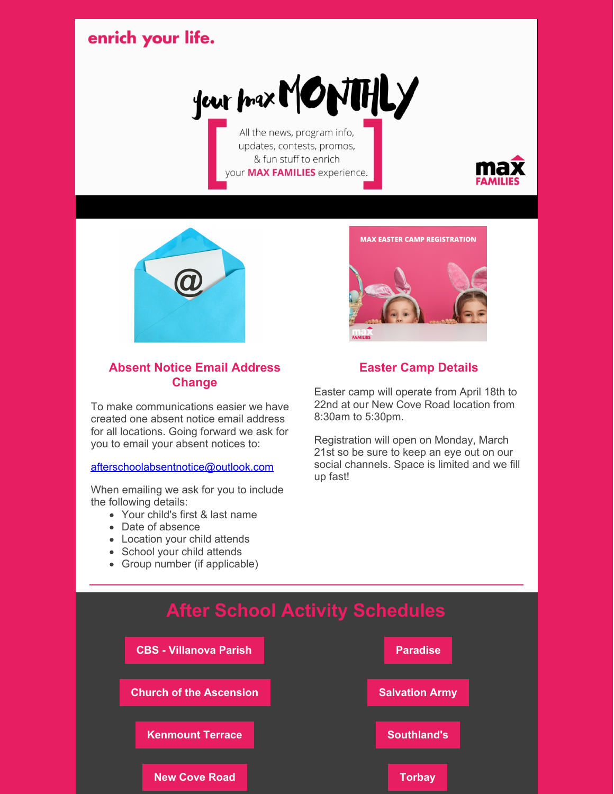## enrich your life.



All the news, program info, updates, contests, promos, & fun stuff to enrich your MAX FAMILIES experience.





#### **Absent Notice Email Address Change**

To make communications easier we have created one absent notice email address for all locations. Going forward we ask for you to email your absent notices to:

[afterschoolabsentnotice@outlook.com](mailto:afterschoolabsentnotice@outlook.com)

When emailing we ask for you to include the following details:

- Your child's first & last name
- Date of absence
- Location your child attends
- School your child attends
- Group number (if applicable)



#### **Easter Camp Details**

Easter camp will operate from April 18th to 22nd at our New Cove Road location from 8:30am to 5:30pm.

Registration will open on Monday, March 21st so be sure to keep an eye out on our social channels. Space is limited and we fill up fast!